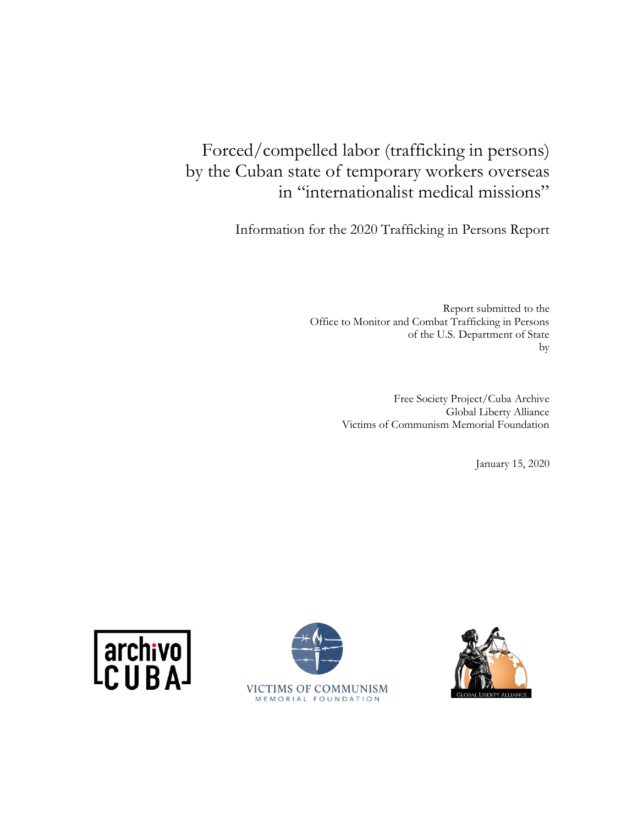# Forced/compelled labor (trafficking in persons) by the Cuban state of temporary workers overseas in "internationalist medical missions"

Information for the 2020 Trafficking in Persons Report

Report submitted to the Office to Monitor and Combat Trafficking in Persons of the U.S. Department of State by

> Free Society Project/Cuba Archive Global Liberty Alliance Victims of Communism Memorial Foundation

> > January 15, 2020





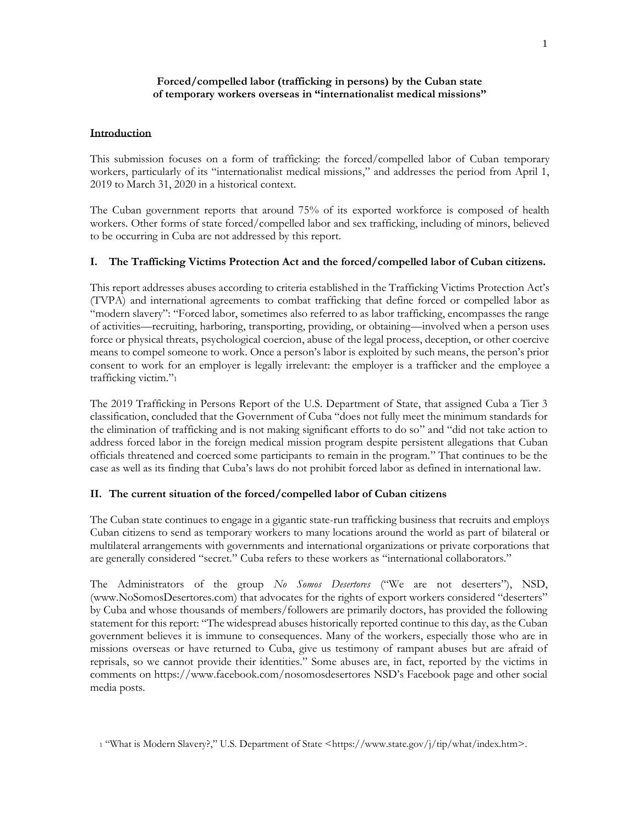# **Forced/compelled labor (trafficking in persons) by the Cuban state of temporary workers overseas in "internationalist medical missions"**

### **Introduction**

This submission focuses on a form of trafficking: the forced/compelled labor of Cuban temporary workers, particularly of its "internationalist medical missions," and addresses the period from April 1, 2019 to March 31, 2020 in a historical context.

The Cuban government reports that around 75% of its exported workforce is composed of health workers. Other forms of state forced/compelled labor and sex trafficking, including of minors, believed to be occurring in Cuba are not addressed by this report.

# **I. The Trafficking Victims Protection Act and the forced/compelled labor of Cuban citizens.**

This report addresses abuses according to criteria established in the Trafficking Victims Protection Act's (TVPA) and international agreements to combat trafficking that define forced or compelled labor as "modern slavery": "Forced labor, sometimes also referred to as labor trafficking, encompasses the range of activities—recruiting, harboring, transporting, providing, or obtaining—involved when a person uses force or physical threats, psychological coercion, abuse of the legal process, deception, or other coercive means to compel someone to work. Once a person's labor is exploited by such means, the person's prior consent to work for an employer is legally irrelevant: the employer is a trafficker and the employee a trafficking victim."<sup>1</sup>

The 2019 Trafficking in Persons Report of the U.S. Department of State, that assigned Cuba a Tier 3 classification, concluded that the Government of Cuba "does not fully meet the minimum standards for the elimination of trafficking and is not making significant efforts to do so" and "did not take action to address forced labor in the foreign medical mission program despite persistent allegations that Cuban officials threatened and coerced some participants to remain in the program." That continues to be the case as well as its finding that Cuba's laws do not prohibit forced labor as defined in international law.

#### **II. The current situation of the forced/compelled labor of Cuban citizens**

The Cuban state continues to engage in a gigantic state-run trafficking business that recruits and employs Cuban citizens to send as temporary workers to many locations around the world as part of bilateral or multilateral arrangements with governments and international organizations or private corporations that are generally considered "secret." Cuba refers to these workers as "international collaborators."

The Administrators of the group *No Somos Desertores* ("We are not deserters"), NSD, [\(www.NoSomosDesertores.com\)](http://www.nosomosdesertores.com/) that advocates for the rights of export workers considered "deserters" by Cuba and whose thousands of members/followers are primarily doctors, has provided the following statement for this report: "The widespread abuses historically reported continue to this day, as the Cuban government believes it is immune to consequences. Many of the workers, especially those who are in missions overseas or have returned to Cuba, give us testimony of rampant abuses but are afraid of reprisals, so we cannot provide their identities." Some abuses are, in fact, reported by the victims in comments on<https://www.facebook.com/nosomosdesertores> NSD's Facebook page and other social media posts.

<sup>1 &</sup>quot;What is Modern Slavery?," U.S. Department of State <[https://www.state.gov/j/tip/what/index.htm>](https://www.state.gov/j/tip/what/index.htm).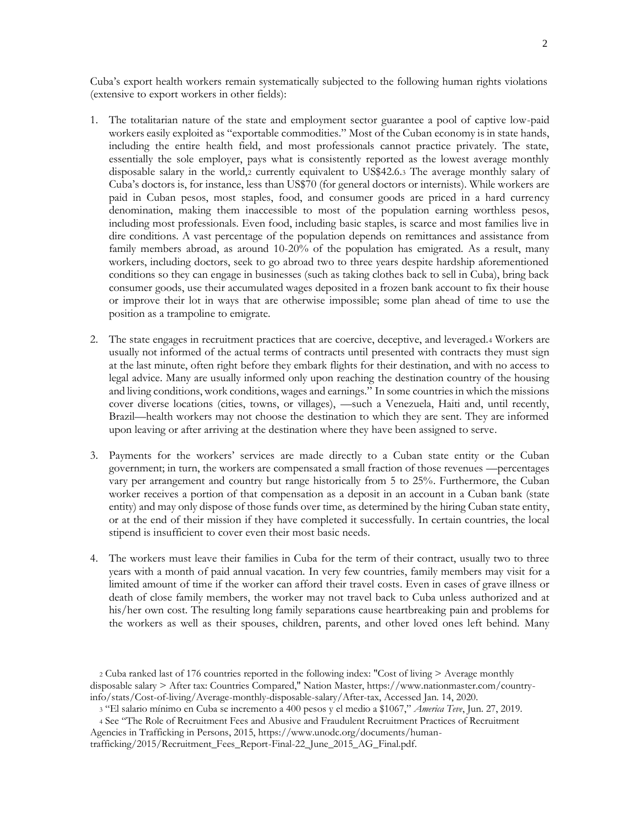Cuba's export health workers remain systematically subjected to the following human rights violations (extensive to export workers in other fields):

- 1. The totalitarian nature of the state and employment sector guarantee a pool of captive low-paid workers easily exploited as "exportable commodities." Most of the Cuban economy is in state hands, including the entire health field, and most professionals cannot practice privately. The state, essentially the sole employer, pays what is consistently reported as the lowest average monthly disposable salary in the world,<sup>2</sup> currently equivalent to US\$42.6.<sup>3</sup> The average monthly salary of Cuba's doctors is, for instance, less than US\$70 (for general doctors or internists). While workers are paid in Cuban pesos, most staples, food, and consumer goods are priced in a hard currency denomination, making them inaccessible to most of the population earning worthless pesos, including most professionals. Even food, including basic staples, is scarce and most families live in dire conditions. A vast percentage of the population depends on remittances and assistance from family members abroad, as around 10-20% of the population has emigrated. As a result, many workers, including doctors, seek to go abroad two to three years despite hardship aforementioned conditions so they can engage in businesses (such as taking clothes back to sell in Cuba), bring back consumer goods, use their accumulated wages deposited in a frozen bank account to fix their house or improve their lot in ways that are otherwise impossible; some plan ahead of time to use the position as a trampoline to emigrate.
- 2. The state engages in recruitment practices that are coercive, deceptive, and leveraged.<sup>4</sup> Workers are usually not informed of the actual terms of contracts until presented with contracts they must sign at the last minute, often right before they embark flights for their destination, and with no access to legal advice. Many are usually informed only upon reaching the destination country of the housing and living conditions, work conditions, wages and earnings." In some countries in which the missions cover diverse locations (cities, towns, or villages), —such a Venezuela, Haiti and, until recently, Brazil—health workers may not choose the destination to which they are sent. They are informed upon leaving or after arriving at the destination where they have been assigned to serve.
- 3. Payments for the workers' services are made directly to a Cuban state entity or the Cuban government; in turn, the workers are compensated a small fraction of those revenues —percentages vary per arrangement and country but range historically from 5 to 25%. Furthermore, the Cuban worker receives a portion of that compensation as a deposit in an account in a Cuban bank (state entity) and may only dispose of those funds over time, as determined by the hiring Cuban state entity, or at the end of their mission if they have completed it successfully. In certain countries, the local stipend is insufficient to cover even their most basic needs.
- 4. The workers must leave their families in Cuba for the term of their contract, usually two to three years with a month of paid annual vacation. In very few countries, family members may visit for a limited amount of time if the worker can afford their travel costs. Even in cases of grave illness or death of close family members, the worker may not travel back to Cuba unless authorized and at his/her own cost. The resulting long family separations cause heartbreaking pain and problems for the workers as well as their spouses, children, parents, and other loved ones left behind. Many

<sup>2</sup> Cuba ranked last of 176 countries reported in the following index: "Cost of living > Average monthly disposable salary > After tax: Countries Compared," Nation Master, https://www.nationmaster.com/countryinfo/stats/Cost-of-living/Average-monthly-disposable-salary/After-tax, Accessed Jan. 14, 2020.

<sup>3</sup> "El salario mínimo en Cuba se incremento a 400 pesos y el medio a \$1067," *America Teve*, Jun. 27, 2019.

<sup>4</sup> See "The Role of Recruitment Fees and Abusive and Fraudulent Recruitment Practices of Recruitment Agencies in Trafficking in Persons, 2015, https://www.unodc.org/documents/humantrafficking/2015/Recruitment\_Fees\_Report-Final-22\_June\_2015\_AG\_Final.pdf.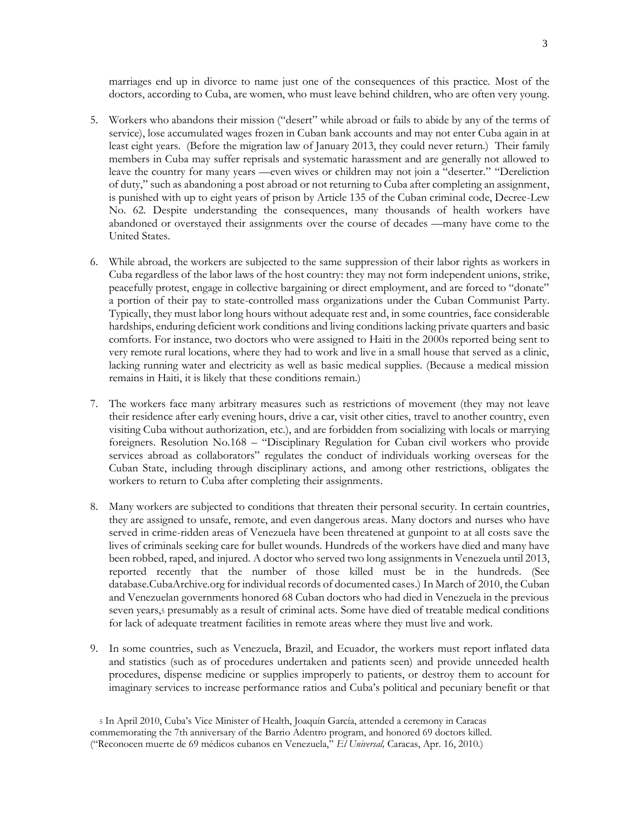marriages end up in divorce to name just one of the consequences of this practice. Most of the doctors, according to Cuba, are women, who must leave behind children, who are often very young.

- 5. Workers who abandons their mission ("desert" while abroad or fails to abide by any of the terms of service), lose accumulated wages frozen in Cuban bank accounts and may not enter Cuba again in at least eight years. (Before the migration law of January 2013, they could never return.) Their family members in Cuba may suffer reprisals and systematic harassment and are generally not allowed to leave the country for many years —even wives or children may not join a "deserter." "Dereliction of duty," such as abandoning a post abroad or not returning to Cuba after completing an assignment, is punished with up to eight years of prison by Article 135 of the Cuban criminal code, Decree-Lew No. 62. Despite understanding the consequences, many thousands of health workers have abandoned or overstayed their assignments over the course of decades —many have come to the United States.
- 6. While abroad, the workers are subjected to the same suppression of their labor rights as workers in Cuba regardless of the labor laws of the host country: they may not form independent unions, strike, peacefully protest, engage in collective bargaining or direct employment, and are forced to "donate" a portion of their pay to state-controlled mass organizations under the Cuban Communist Party. Typically, they must labor long hours without adequate rest and, in some countries, face considerable hardships, enduring deficient work conditions and living conditions lacking private quarters and basic comforts. For instance, two doctors who were assigned to Haiti in the 2000s reported being sent to very remote rural locations, where they had to work and live in a small house that served as a clinic, lacking running water and electricity as well as basic medical supplies. (Because a medical mission remains in Haiti, it is likely that these conditions remain.)
- 7. The workers face many arbitrary measures such as restrictions of movement (they may not leave their residence after early evening hours, drive a car, visit other cities, travel to another country, even visiting Cuba without authorization, etc.), and are forbidden from socializing with locals or marrying foreigners. Resolution No.168 – "Disciplinary Regulation for Cuban civil workers who provide services abroad as collaborators" regulates the conduct of individuals working overseas for the Cuban State, including through disciplinary actions, and among other restrictions, obligates the workers to return to Cuba after completing their assignments.
- 8. Many workers are subjected to conditions that threaten their personal security. In certain countries, they are assigned to unsafe, remote, and even dangerous areas. Many doctors and nurses who have served in crime-ridden areas of Venezuela have been threatened at gunpoint to at all costs save the lives of criminals seeking care for bullet wounds. Hundreds of the workers have died and many have been robbed, raped, and injured. A doctor who served two long assignments in Venezuela until 2013, reported recently that the number of those killed must be in the hundreds. (See database.CubaArchive.org for individual records of documented cases.) In March of 2010, the Cuban and Venezuelan governments honored 68 Cuban doctors who had died in Venezuela in the previous seven years,<sup>5</sup> presumably as a result of criminal acts. Some have died of treatable medical conditions for lack of adequate treatment facilities in remote areas where they must live and work.
- 9. In some countries, such as Venezuela, Brazil, and Ecuador, the workers must report inflated data and statistics (such as of procedures undertaken and patients seen) and provide unneeded health procedures, dispense medicine or supplies improperly to patients, or destroy them to account for imaginary services to increase performance ratios and Cuba's political and pecuniary benefit or that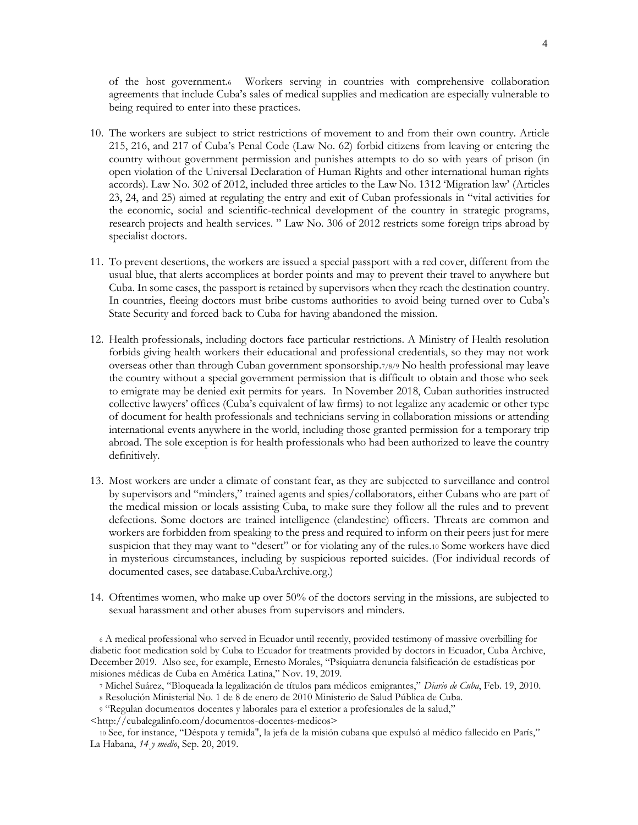of the host government.<sup>6</sup> Workers serving in countries with comprehensive collaboration agreements that include Cuba's sales of medical supplies and medication are especially vulnerable to being required to enter into these practices.

- 10. The workers are subject to strict restrictions of movement to and from their own country. Article 215, 216, and 217 of Cuba's Penal Code (Law No. 62) forbid citizens from leaving or entering the country without government permission and punishes attempts to do so with years of prison (in open violation of the Universal Declaration of Human Rights and other international human rights accords). Law No. 302 of 2012, included three articles to the Law No. 1312 'Migration law' (Articles 23, 24, and 25) aimed at regulating the entry and exit of Cuban professionals in "vital activities for the economic, social and scientific-technical development of the country in strategic programs, research projects and health services. " Law No. 306 of 2012 restricts some foreign trips abroad by specialist doctors.
- 11. To prevent desertions, the workers are issued a special passport with a red cover, different from the usual blue, that alerts accomplices at border points and may to prevent their travel to anywhere but Cuba. In some cases, the passport is retained by supervisors when they reach the destination country. In countries, fleeing doctors must bribe customs authorities to avoid being turned over to Cuba's State Security and forced back to Cuba for having abandoned the mission.
- 12. Health professionals, including doctors face particular restrictions. A Ministry of Health resolution forbids giving health workers their educational and professional credentials, so they may not work overseas other than through Cuban government sponsorship.7/8/9 No health professional may leave the country without a special government permission that is difficult to obtain and those who seek to emigrate may be denied exit permits for years. In November 2018, Cuban authorities instructed collective lawyers' offices (Cuba's equivalent of law firms) to not legalize any academic or other type of document for health professionals and technicians serving in collaboration missions or attending international events anywhere in the world, including those granted permission for a temporary trip abroad. The sole exception is for health professionals who had been authorized to leave the country definitively.
- 13. Most workers are under a climate of constant fear, as they are subjected to surveillance and control by supervisors and "minders," trained agents and spies/collaborators, either Cubans who are part of the medical mission or locals assisting Cuba, to make sure they follow all the rules and to prevent defections. Some doctors are trained intelligence (clandestine) officers. Threats are common and workers are forbidden from speaking to the press and required to inform on their peers just for mere suspicion that they may want to "desert" or for violating any of the rules.<sup>10</sup> Some workers have died in mysterious circumstances, including by suspicious reported suicides. (For individual records of documented cases, see database.CubaArchive.org.)
- 14. Oftentimes women, who make up over 50% of the doctors serving in the missions, are subjected to sexual harassment and other abuses from supervisors and minders.

<sup>6</sup> A medical professional who served in Ecuador until recently, provided testimony of massive overbilling for diabetic foot medication sold by Cuba to Ecuador for treatments provided by doctors in Ecuador, Cuba Archive, December 2019. Also see, for example, Ernesto Morales, "Psiquiatra denuncia falsificación de estadísticas por misiones médicas de Cuba en América Latina," Nov. 19, 2019.

<sup>8</sup> Resolución Ministerial No. 1 de 8 de enero de 2010 Ministerio de Salud Pública de Cuba.

<sup>9</sup> "Regulan documentos docentes y laborales para el exterior a profesionales de la salud,"

<http://cubalegalinfo.com/documentos-docentes-medicos>

<sup>10</sup> See, for instance, "Déspota y temida", la jefa de la misión cubana que expulsó al médico fallecido en París," La Habana, *14 y medio*, Sep. 20, 2019.

<sup>7</sup> Michel Suárez, "Bloqueada la legalización de títulos para médicos emigrantes," *Diario de Cuba*, Feb. 19, 2010.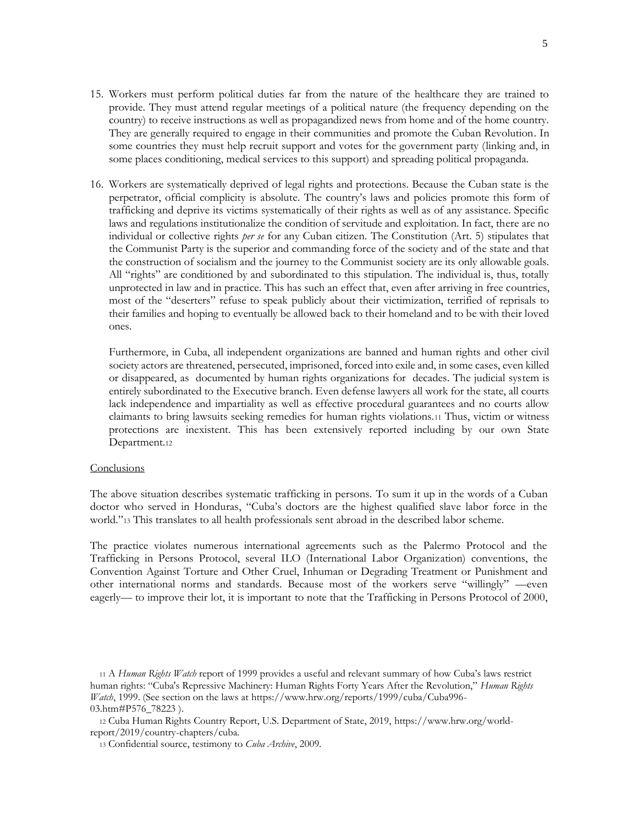- 15. Workers must perform political duties far from the nature of the healthcare they are trained to provide. They must attend regular meetings of a political nature (the frequency depending on the country) to receive instructions as well as propagandized news from home and of the home country. They are generally required to engage in their communities and promote the Cuban Revolution. In some countries they must help recruit support and votes for the government party (linking and, in some places conditioning, medical services to this support) and spreading political propaganda.
- 16. Workers are systematically deprived of legal rights and protections. Because the Cuban state is the perpetrator, official complicity is absolute. The country's laws and policies promote this form of trafficking and deprive its victims systematically of their rights as well as of any assistance. Specific laws and regulations institutionalize the condition of servitude and exploitation. In fact, there are no individual or collective rights *per se* for any Cuban citizen. The Constitution (Art. 5) stipulates that the Communist Party is the superior and commanding force of the society and of the state and that the construction of socialism and the journey to the Communist society are its only allowable goals. All "rights" are conditioned by and subordinated to this stipulation. The individual is, thus, totally unprotected in law and in practice. This has such an effect that, even after arriving in free countries, most of the "deserters" refuse to speak publicly about their victimization, terrified of reprisals to their families and hoping to eventually be allowed back to their homeland and to be with their loved ones.

Furthermore, in Cuba, all independent organizations are banned and human rights and other civil society actors are threatened, persecuted, imprisoned, forced into exile and, in some cases, even killed or disappeared, as documented by human rights organizations for decades. The judicial system is entirely subordinated to the Executive branch. Even defense lawyers all work for the state, all courts lack independence and impartiality as well as effective procedural guarantees and no courts allow claimants to bring lawsuits seeking remedies for human rights violations.<sup>11</sup> Thus, victim or witness protections are inexistent. This has been extensively reported including by our own State Department.<sup>12</sup>

#### **Conclusions**

The above situation describes systematic trafficking in persons. To sum it up in the words of a Cuban doctor who served in Honduras, "Cuba's doctors are the highest qualified slave labor force in the world."<sup>13</sup> This translates to all health professionals sent abroad in the described labor scheme.

The practice violates numerous international agreements such as the Palermo Protocol and the Trafficking in Persons Protocol, several ILO (International Labor Organization) conventions, the Convention Against Torture and Other Cruel, Inhuman or Degrading Treatment or Punishment and other international norms and standards. Because most of the workers serve "willingly" —even eagerly— to improve their lot, it is important to note that the Trafficking in Persons Protocol of 2000,

<sup>11</sup> A *Human Rights Watch* report of 1999 provides a useful and relevant summary of how Cuba's laws restrict human rights: "Cuba's Repressive Machinery: Human Rights Forty Years After the Revolution," *Human Rights Watch*, 1999. (See section on the laws at [https://www.hrw.org/reports/1999/cuba/Cuba996-](https://www.hrw.org/reports/1999/cuba/Cuba996-03.htm#P576_78223) [03.htm#P576\\_78223](https://www.hrw.org/reports/1999/cuba/Cuba996-03.htm#P576_78223) ).

<sup>12</sup> Cuba Human Rights Country Report, U.S. Department of State, 2019, https://www.hrw.org/worldreport/2019/country-chapters/cuba.

<sup>13</sup> Confidential source, testimony to *Cuba Archive*, 2009.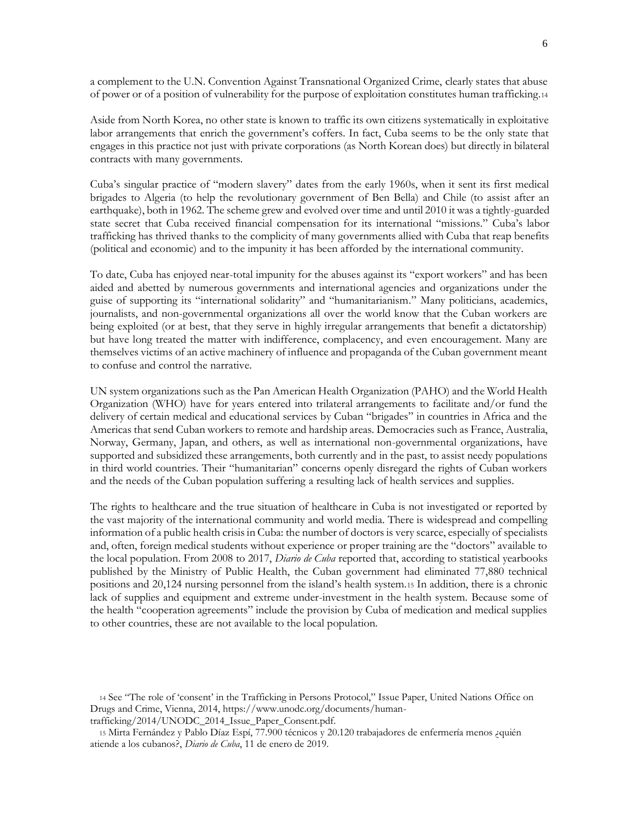a complement to the U.N. Convention Against Transnational Organized Crime, clearly states that abuse of power or of a position of vulnerability for the purpose of exploitation constitutes human trafficking.<sup>14</sup>

Aside from North Korea, no other state is known to traffic its own citizens systematically in exploitative labor arrangements that enrich the government's coffers. In fact, Cuba seems to be the only state that engages in this practice not just with private corporations (as North Korean does) but directly in bilateral contracts with many governments.

Cuba's singular practice of "modern slavery" dates from the early 1960s, when it sent its first medical brigades to Algeria (to help the revolutionary government of Ben Bella) and Chile (to assist after an earthquake), both in 1962. The scheme grew and evolved over time and until 2010 it was a tightly-guarded state secret that Cuba received financial compensation for its international "missions." Cuba's labor trafficking has thrived thanks to the complicity of many governments allied with Cuba that reap benefits (political and economic) and to the impunity it has been afforded by the international community.

To date, Cuba has enjoyed near-total impunity for the abuses against its "export workers" and has been aided and abetted by numerous governments and international agencies and organizations under the guise of supporting its "international solidarity" and "humanitarianism." Many politicians, academics, journalists, and non-governmental organizations all over the world know that the Cuban workers are being exploited (or at best, that they serve in highly irregular arrangements that benefit a dictatorship) but have long treated the matter with indifference, complacency, and even encouragement. Many are themselves victims of an active machinery of influence and propaganda of the Cuban government meant to confuse and control the narrative.

UN system organizations such as the Pan American Health Organization (PAHO) and the World Health Organization (WHO) have for years entered into trilateral arrangements to facilitate and/or fund the delivery of certain medical and educational services by Cuban "brigades" in countries in Africa and the Americas that send Cuban workers to remote and hardship areas. Democracies such as France, Australia, Norway, Germany, Japan, and others, as well as international non-governmental organizations, have supported and subsidized these arrangements, both currently and in the past, to assist needy populations in third world countries. Their "humanitarian" concerns openly disregard the rights of Cuban workers and the needs of the Cuban population suffering a resulting lack of health services and supplies.

The rights to healthcare and the true situation of healthcare in Cuba is not investigated or reported by the vast majority of the international community and world media. There is widespread and compelling information of a public health crisis in Cuba: the number of doctors is very scarce, especially of specialists and, often, foreign medical students without experience or proper training are the "doctors" available to the local population. From 2008 to 2017, *Diario de Cuba* reported that, according to statistical yearbooks published by the Ministry of Public Health, the Cuban government had eliminated 77,880 technical positions and 20,124 nursing personnel from the island's health system.<sup>15</sup> In addition, there is a chronic lack of supplies and equipment and extreme under-investment in the health system. Because some of the health "cooperation agreements" include the provision by Cuba of medication and medical supplies to other countries, these are not available to the local population.

<sup>14</sup> See "The role of 'consent' in the Trafficking in Persons Protocol," Issue Paper, United Nations Office on Drugs and Crime, Vienna, 2014, https://www.unodc.org/documents/humantrafficking/2014/UNODC\_2014\_Issue\_Paper\_Consent.pdf.

<sup>15</sup> Mirta Fernández y Pablo Díaz Espí, 77.900 técnicos y 20.120 trabajadores de enfermería menos ¿quién atiende a los cubanos?, *Diario de Cuba*, 11 de enero de 2019.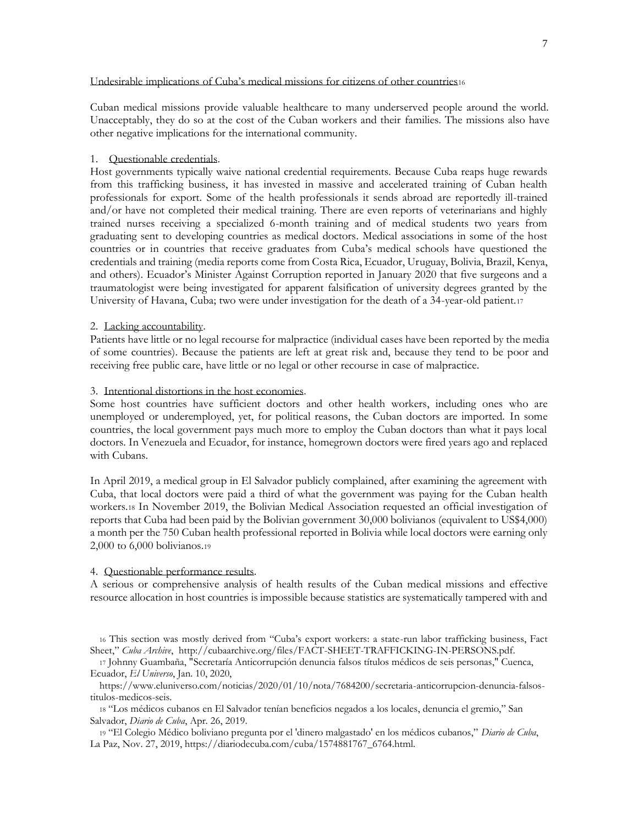Undesirable implications of Cuba's medical missions for citizens of other countries<sup>16</sup>

Cuban medical missions provide valuable healthcare to many underserved people around the world. Unacceptably, they do so at the cost of the Cuban workers and their families. The missions also have other negative implications for the international community.

#### 1. Questionable credentials.

Host governments typically waive national credential requirements. Because Cuba reaps huge rewards from this trafficking business, it has invested in massive and accelerated training of Cuban health professionals for export. Some of the health professionals it sends abroad are reportedly ill-trained and/or have not completed their medical training. There are even reports of veterinarians and highly trained nurses receiving a specialized 6-month training and of medical students two years from graduating sent to developing countries as medical doctors. Medical associations in some of the host countries or in countries that receive graduates from Cuba's medical schools have questioned the credentials and training (media reports come from Costa Rica, Ecuador, Uruguay, Bolivia, Brazil, Kenya, and others). Ecuador's Minister Against Corruption reported in January 2020 that five surgeons and a traumatologist were being investigated for apparent falsification of university degrees granted by the University of Havana, Cuba; two were under investigation for the death of a 34-year-old patient.<sup>17</sup>

#### 2. Lacking accountability.

Patients have little or no legal recourse for malpractice (individual cases have been reported by the media of some countries). Because the patients are left at great risk and, because they tend to be poor and receiving free public care, have little or no legal or other recourse in case of malpractice.

# 3. Intentional distortions in the host economies.

Some host countries have sufficient doctors and other health workers, including ones who are unemployed or underemployed, yet, for political reasons, the Cuban doctors are imported. In some countries, the local government pays much more to employ the Cuban doctors than what it pays local doctors. In Venezuela and Ecuador, for instance, homegrown doctors were fired years ago and replaced with Cubans.

In April 2019, a medical group in El Salvador publicly complained, after examining the agreement with Cuba, that local doctors were paid a third of what the government was paying for the Cuban health workers.<sup>18</sup> In November 2019, the Bolivian Medical Association requested an official investigation of reports that Cuba had been paid by the Bolivian government 30,000 bolivianos (equivalent to US\$4,000) a month per the 750 Cuban health professional reported in Bolivia while local doctors were earning only 2,000 to 6,000 bolivianos.<sup>19</sup>

#### 4. Questionable performance results.

A serious or comprehensive analysis of health results of the Cuban medical missions and effective resource allocation in host countries is impossible because statistics are systematically tampered with and

<sup>16</sup> This section was mostly derived from "Cuba's export workers: a state-run labor trafficking business, Fact Sheet," *Cuba Archive*, http://cubaarchive.org/files/FACT-SHEET-TRAFFICKING-IN-PERSONS.pdf.

<sup>17</sup> Johnny Guambaña, "Secretaría Anticorrupción denuncia falsos títulos médicos de seis personas," Cuenca, Ecuador, *El Universo*, Jan. 10, 2020,

https://www.eluniverso.com/noticias/2020/01/10/nota/7684200/secretaria-anticorrupcion-denuncia-falsostitulos-medicos-seis.

<sup>18</sup> "Los médicos cubanos en El Salvador tenían beneficios negados a los locales, denuncia el gremio," San Salvador, *Diario de Cuba*, Apr. 26, 2019.

<sup>19</sup> "El Colegio Médico boliviano pregunta por el 'dinero malgastado' en los médicos cubanos," *Diario de Cuba*, La Paz, Nov. 27, 2019, https://diariodecuba.com/cuba/1574881767\_6764.html.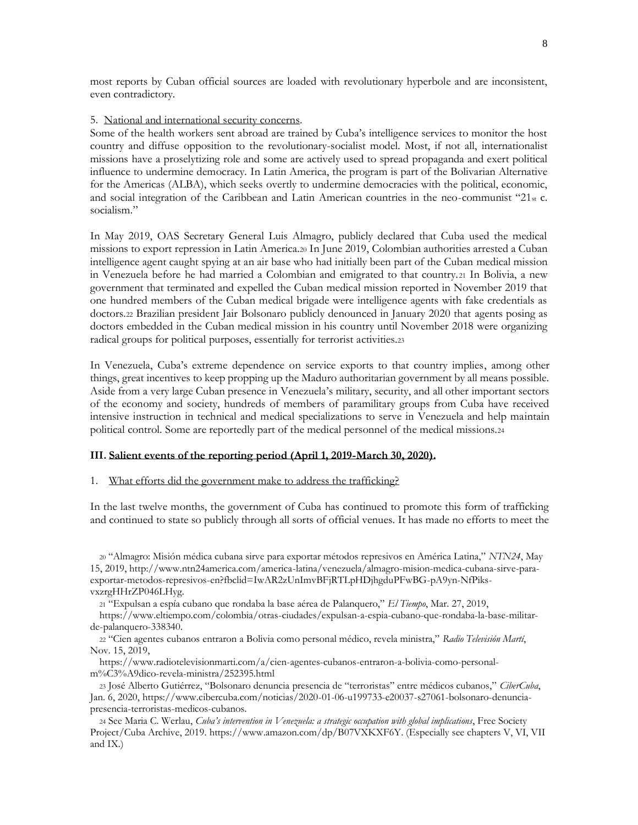most reports by Cuban official sources are loaded with revolutionary hyperbole and are inconsistent, even contradictory.

#### 5. National and international security concerns.

Some of the health workers sent abroad are trained by Cuba's intelligence services to monitor the host country and diffuse opposition to the revolutionary-socialist model. Most, if not all, internationalist missions have a proselytizing role and some are actively used to spread propaganda and exert political influence to undermine democracy. In Latin America, the program is part of the Bolivarian Alternative for the Americas (ALBA), which seeks overtly to undermine democracies with the political, economic, and social integration of the Caribbean and Latin American countries in the neo-communist "21st c. socialism."

In May 2019, OAS Secretary General Luis Almagro, publicly declared that Cuba used the medical missions to export repression in Latin America.<sup>20</sup> In June 2019, Colombian authorities arrested a Cuban intelligence agent caught spying at an air base who had initially been part of the Cuban medical mission in Venezuela before he had married a Colombian and emigrated to that country. <sup>21</sup> In Bolivia, a new government that terminated and expelled the Cuban medical mission reported in November 2019 that one hundred members of the Cuban medical brigade were intelligence agents with fake credentials as doctors.<sup>22</sup> Brazilian president Jair Bolsonaro publicly denounced in January 2020 that agents posing as doctors embedded in the Cuban medical mission in his country until November 2018 were organizing radical groups for political purposes, essentially for terrorist activities.<sup>23</sup>

In Venezuela, Cuba's extreme dependence on service exports to that country implies, among other things, great incentives to keep propping up the Maduro authoritarian government by all means possible. Aside from a very large Cuban presence in Venezuela's military, security, and all other important sectors of the economy and society, hundreds of members of paramilitary groups from Cuba have received intensive instruction in technical and medical specializations to serve in Venezuela and help maintain political control. Some are reportedly part of the medical personnel of the medical missions.<sup>24</sup>

#### **III. Salient events of the reporting period (April 1, 2019-March 30, 2020).**

### 1. What efforts did the government make to address the trafficking?

In the last twelve months, the government of Cuba has continued to promote this form of trafficking and continued to state so publicly through all sorts of official venues. It has made no efforts to meet the

<sup>20</sup> "Almagro: Misión médica cubana sirve para exportar métodos represivos en América Latina," *NTN24*, May 15, 2019, http://www.ntn24america.com/america-latina/venezuela/almagro-mision-medica-cubana-sirve-paraexportar-metodos-represivos-en?fbclid=IwAR2zUnImvBFjRTLpHDjhgduPFwBG-pA9yn-NfPiksvxzrgHHrZP046LHyg.

<sup>21</sup> "Expulsan a espía cubano que rondaba la base aérea de Palanquero," *El Tiempo*, Mar. 27, 2019,

https://www.eltiempo.com/colombia/otras-ciudades/expulsan-a-espia-cubano-que-rondaba-la-base-militarde-palanquero-338340.

<sup>22</sup> "Cien agentes cubanos entraron a Bolivia como personal médico, revela ministra," *Radio Televisión Martí*, Nov. 15, 2019,

https://www.radiotelevisionmarti.com/a/cien-agentes-cubanos-entraron-a-bolivia-como-personalm%C3%A9dico-revela-ministra/252395.html

<sup>23</sup> José Alberto Gutiérrez, "Bolsonaro denuncia presencia de "terroristas" entre médicos cubanos," *CiberCuba*, Jan. 6, 2020, https://www.cibercuba.com/noticias/2020-01-06-u199733-e20037-s27061-bolsonaro-denunciapresencia-terroristas-medicos-cubanos.

<sup>24</sup> See Maria C. Werlau, *Cuba's intervention in Venezuela: a strategic occupation with global implications*, Free Society Project/Cuba Archive, 2019[. https://www.amazon.com/dp/B07VXKXF6Y.](https://www.amazon.com/dp/B07VXKXF6Y) (Especially see chapters V, VI, VII and IX.)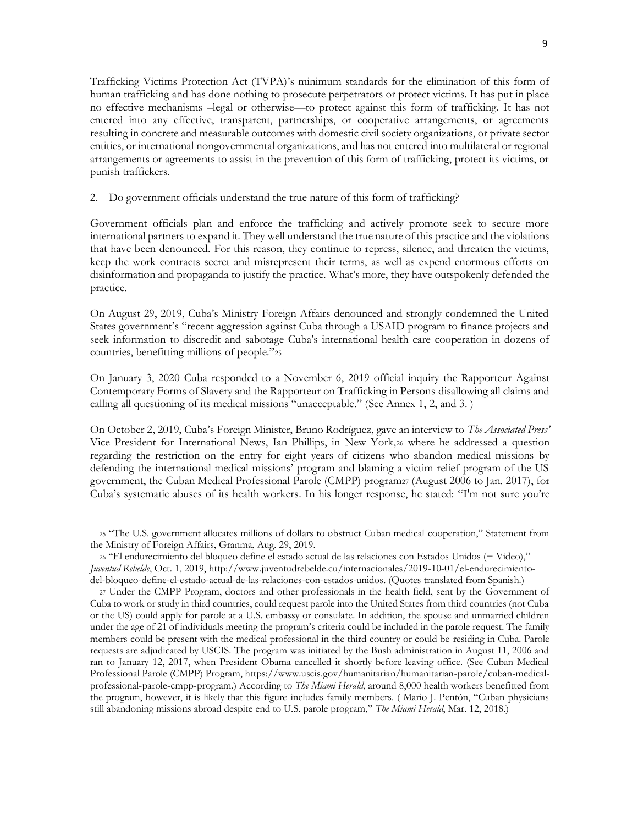Trafficking Victims Protection Act (TVPA)'s minimum standards for the elimination of this form of human trafficking and has done nothing to prosecute perpetrators or protect victims. It has put in place no effective mechanisms –legal or otherwise—to protect against this form of trafficking. It has not entered into any effective, transparent, partnerships, or cooperative arrangements, or agreements resulting in concrete and measurable outcomes with domestic civil society organizations, or private sector entities, or international nongovernmental organizations, and has not entered into multilateral or regional arrangements or agreements to assist in the prevention of this form of trafficking, protect its victims, or punish traffickers.

## 2. Do government officials understand the true nature of this form of trafficking?

Government officials plan and enforce the trafficking and actively promote seek to secure more international partners to expand it. They well understand the true nature of this practice and the violations that have been denounced. For this reason, they continue to repress, silence, and threaten the victims, keep the work contracts secret and misrepresent their terms, as well as expend enormous efforts on disinformation and propaganda to justify the practice. What's more, they have outspokenly defended the practice.

On August 29, 2019, Cuba's Ministry Foreign Affairs denounced and strongly condemned the United States government's "recent aggression against Cuba through a USAID program to finance projects and seek information to discredit and sabotage Cuba's international health care cooperation in dozens of countries, benefitting millions of people."<sup>25</sup>

On January 3, 2020 Cuba responded to a November 6, 2019 official inquiry the Rapporteur Against Contemporary Forms of Slavery and the Rapporteur on Trafficking in Persons disallowing all claims and calling all questioning of its medical missions "unacceptable." (See Annex 1, 2, and 3. )

On October 2, 2019, Cuba's Foreign Minister, Bruno Rodríguez, gave an interview to *The Associated Press'* Vice President for International News, Ian Phillips, in New York,<sup>26</sup> where he addressed a question regarding the restriction on the entry for eight years of citizens who abandon medical missions by defending the international medical missions' program and blaming a victim relief program of the US government, the Cuban Medical Professional Parole (CMPP) program27 (August 2006 to Jan. 2017), for Cuba's systematic abuses of its health workers. In his longer response, he stated: "I'm not sure you're

<sup>25</sup> "The U.S. government allocates millions of dollars to obstruct Cuban medical cooperation," Statement from the Ministry of Foreign Affairs, Granma, Aug. 29, 2019.

<sup>26</sup> "El endurecimiento del bloqueo define el estado actual de las relaciones con Estados Unidos (+ Video)," *Juventud Rebelde*, Oct. 1, 2019, [http://www.juventudrebelde.cu/internacionales/2019-10-01/el-endurecimiento](http://www.juventudrebelde.cu/internacionales/2019-10-01/el-endurecimiento-del-bloqueo-define-el-estado-actual-de-las-relaciones-con-estados-unidos)[del-bloqueo-define-el-estado-actual-de-las-relaciones-con-estados-unidos.](http://www.juventudrebelde.cu/internacionales/2019-10-01/el-endurecimiento-del-bloqueo-define-el-estado-actual-de-las-relaciones-con-estados-unidos) (Quotes translated from Spanish.)

<sup>27</sup> Under the CMPP Program, doctors and other professionals in the health field, sent by the Government of Cuba to work or study in third countries, could request parole into the United States from third countries (not Cuba or the US) could apply for parole at a U.S. embassy or consulate. In addition, the spouse and unmarried children under the age of 21 of individuals meeting the program's criteria could be included in the parole request. The family members could be present with the medical professional in the third country or could be residing in Cuba. Parole requests are adjudicated by USCIS. The program was initiated by the Bush administration in August 11, 2006 and ran to January 12, 2017, when President Obama cancelled it shortly before leaving office. (See Cuban Medical Professional Parole (CMPP) Program, https://www.uscis.gov/humanitarian/humanitarian-parole/cuban-medicalprofessional-parole-cmpp-program.) According to *The Miami Herald*, around 8,000 health workers benefitted from the program, however, it is likely that this figure includes family members. ( Mario J. Pentón, "Cuban physicians still abandoning missions abroad despite end to U.S. parole program," *The Miami Herald*, Mar. 12, 2018.)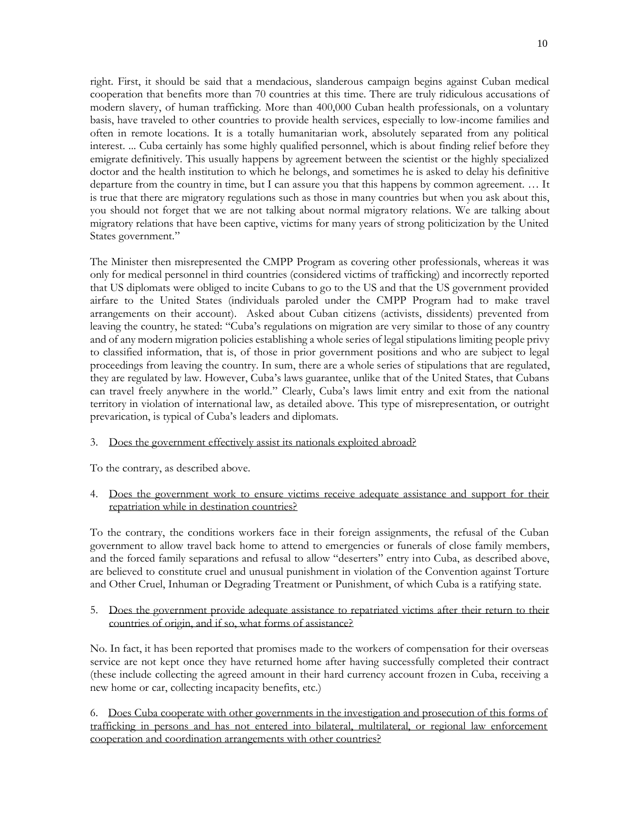right. First, it should be said that a mendacious, slanderous campaign begins against Cuban medical cooperation that benefits more than 70 countries at this time. There are truly ridiculous accusations of modern slavery, of human trafficking. More than 400,000 Cuban health professionals, on a voluntary basis, have traveled to other countries to provide health services, especially to low-income families and often in remote locations. It is a totally humanitarian work, absolutely separated from any political interest. ... Cuba certainly has some highly qualified personnel, which is about finding relief before they emigrate definitively. This usually happens by agreement between the scientist or the highly specialized doctor and the health institution to which he belongs, and sometimes he is asked to delay his definitive departure from the country in time, but I can assure you that this happens by common agreement. … It is true that there are migratory regulations such as those in many countries but when you ask about this, you should not forget that we are not talking about normal migratory relations. We are talking about migratory relations that have been captive, victims for many years of strong politicization by the United States government."

The Minister then misrepresented the CMPP Program as covering other professionals, whereas it was only for medical personnel in third countries (considered victims of trafficking) and incorrectly reported that US diplomats were obliged to incite Cubans to go to the US and that the US government provided airfare to the United States (individuals paroled under the CMPP Program had to make travel arrangements on their account). Asked about Cuban citizens (activists, dissidents) prevented from leaving the country, he stated: "Cuba's regulations on migration are very similar to those of any country and of any modern migration policies establishing a whole series of legal stipulations limiting people privy to classified information, that is, of those in prior government positions and who are subject to legal proceedings from leaving the country. In sum, there are a whole series of stipulations that are regulated, they are regulated by law. However, Cuba's laws guarantee, unlike that of the United States, that Cubans can travel freely anywhere in the world." Clearly, Cuba's laws limit entry and exit from the national territory in violation of international law, as detailed above. This type of misrepresentation, or outright prevarication, is typical of Cuba's leaders and diplomats.

# 3. Does the government effectively assist its nationals exploited abroad?

To the contrary, as described above.

# 4. Does the government work to ensure victims receive adequate assistance and support for their repatriation while in destination countries?

To the contrary, the conditions workers face in their foreign assignments, the refusal of the Cuban government to allow travel back home to attend to emergencies or funerals of close family members, and the forced family separations and refusal to allow "deserters" entry into Cuba, as described above, are believed to constitute cruel and unusual punishment in violation of the Convention against Torture and Other Cruel, Inhuman or Degrading Treatment or Punishment, of which Cuba is a ratifying state.

# 5. Does the government provide adequate assistance to repatriated victims after their return to their countries of origin, and if so, what forms of assistance?

No. In fact, it has been reported that promises made to the workers of compensation for their overseas service are not kept once they have returned home after having successfully completed their contract (these include collecting the agreed amount in their hard currency account frozen in Cuba, receiving a new home or car, collecting incapacity benefits, etc.)

6.Does Cuba cooperate with other governments in the investigation and prosecution of this forms of trafficking in persons and has not entered into bilateral, multilateral, or regional law enforcement cooperation and coordination arrangements with other countries?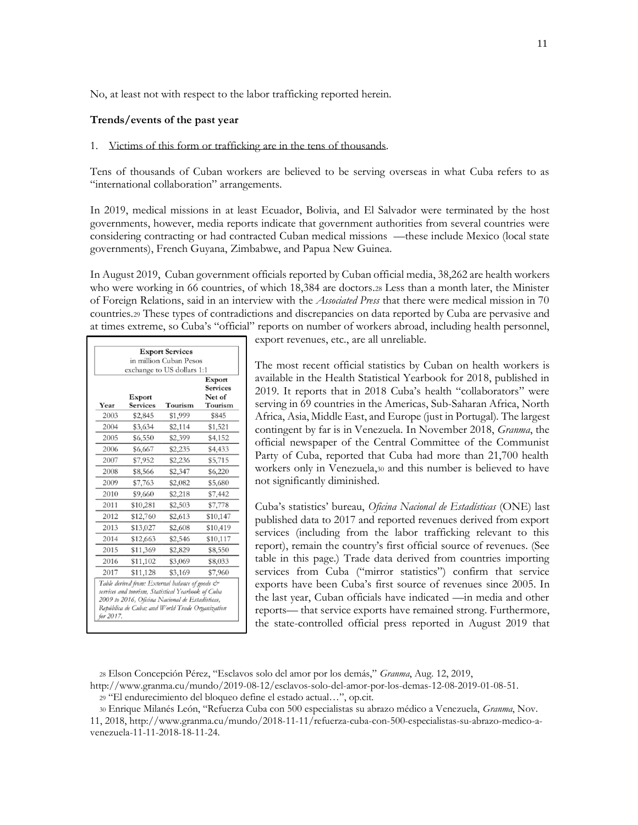No, at least not with respect to the labor trafficking reported herein.

#### **Trends/events of the past year**

#### 1. Victims of this form or trafficking are in the tens of thousands.

Tens of thousands of Cuban workers are believed to be serving overseas in what Cuba refers to as "international collaboration" arrangements.

In 2019, medical missions in at least Ecuador, Bolivia, and El Salvador were terminated by the host governments, however, media reports indicate that government authorities from several countries were considering contracting or had contracted Cuban medical missions —these include Mexico (local state governments), French Guyana, Zimbabwe, and Papua New Guinea.

In August 2019, Cuban government officials reported by Cuban official media, 38,262 are health workers who were working in 66 countries, of which 18,384 are doctors.<sup>28</sup> Less than a month later, the Minister of Foreign Relations, said in an interview with the *Associated Press* that there were medical mission in 70 countries.<sup>29</sup> These types of contradictions and discrepancies on data reported by Cuba are pervasive and at times extreme, so Cuba's "official" reports on number of workers abroad, including health personnel,

|      |                 | exchange to US dollars 1:1                                                                                                                                                                                  |                                     |
|------|-----------------|-------------------------------------------------------------------------------------------------------------------------------------------------------------------------------------------------------------|-------------------------------------|
|      | Export          |                                                                                                                                                                                                             | Export<br><b>Services</b><br>Net of |
| Year | <b>Services</b> | Tourism                                                                                                                                                                                                     | Tourism                             |
| 2003 | \$2,845         | \$1,999                                                                                                                                                                                                     | \$845                               |
| 2004 | \$3,634         | \$2,114                                                                                                                                                                                                     | \$1,521                             |
| 2005 | \$6,550         | \$2,399                                                                                                                                                                                                     | \$4,152                             |
| 2006 | \$6,667         | \$2,235                                                                                                                                                                                                     | \$4,433                             |
| 2007 | \$7,952         | \$2,236                                                                                                                                                                                                     | \$5,715                             |
| 2008 | \$8,566         | \$2,347                                                                                                                                                                                                     | \$6,220                             |
| 2009 | \$7,763         | \$2,082                                                                                                                                                                                                     | \$5,680                             |
| 2010 | \$9,660         | \$2,218                                                                                                                                                                                                     | \$7,442                             |
| 2011 | \$10,281        | \$2,503                                                                                                                                                                                                     | \$7,778                             |
| 2012 | \$12,760        | \$2,613                                                                                                                                                                                                     | \$10,147                            |
| 2013 | \$13,027        | \$2,608                                                                                                                                                                                                     | \$10,419                            |
| 2014 | \$12,663        | \$2,546                                                                                                                                                                                                     | \$10,117                            |
| 2015 | \$11,369        | \$2,829                                                                                                                                                                                                     | \$8,550                             |
| 2016 | \$11,102        | \$3,069                                                                                                                                                                                                     | \$8,033                             |
| 2017 | \$11,128        | \$3,169                                                                                                                                                                                                     | \$7,960                             |
|      |                 | Table derived from: External balance of goods &<br>services and tourism, Statistical Yearbook of Cuba<br>2009 to 2016, Oficina Nacional de Estadísticas,<br>República de Cuba; and World Trade Organization |                                     |

export revenues, etc., are all unreliable.

The most recent official statistics by Cuban on health workers is available in the Health Statistical Yearbook for 2018, published in 2019. It reports that in 2018 Cuba's health "collaborators" were serving in 69 countries in the Americas, Sub-Saharan Africa, North Africa, Asia, Middle East, and Europe (just in Portugal). The largest contingent by far is in Venezuela. In November 2018, *Granma*, the official newspaper of the Central Committee of the Communist Party of Cuba, reported that Cuba had more than 21,700 health workers only in Venezuela,<sup>30</sup> and this number is believed to have not significantly diminished.

Cuba's statistics' bureau, *Oficina Nacional de Estadísticas* (ONE) last published data to 2017 and reported revenues derived from export services (including from the labor trafficking relevant to this report), remain the country's first official source of revenues. (See table in this page.) Trade data derived from countries importing services from Cuba ("mirror statistics") confirm that service exports have been Cuba's first source of revenues since 2005. In the last year, Cuban officials have indicated —in media and other reports— that service exports have remained strong. Furthermore, the state-controlled official press reported in August 2019 that

<sup>30</sup> Enrique Milanés León, "Refuerza Cuba con 500 especialistas su abrazo médico a Venezuela, *Granma*, Nov.

<sup>28</sup> Elson Concepción Pérez, "Esclavos solo del amor por los demás," *Granma*, Aug. 12, 2019,

[http://www.granma.cu/mundo/2019-08-12/esclavos-solo-del-amor-por-los-demas-12-08-2019-01-08-51.](http://www.granma.cu/mundo/2019-08-12/esclavos-solo-del-amor-por-los-demas-12-08-2019-01-08-51) <sup>29</sup> "El endurecimiento del bloqueo define el estado actual…", op.cit.

<sup>11, 2018,</sup> [http://www.granma.cu/mundo/2018-11-11/refuerza-cuba-con-500-especialistas-su-abrazo-medico-a](http://www.granma.cu/mundo/2018-11-11/refuerza-cuba-con-500-especialistas-su-abrazo-medico-a-venezuela-11-11-2018-18-11-24)[venezuela-11-11-2018-18-11-24.](http://www.granma.cu/mundo/2018-11-11/refuerza-cuba-con-500-especialistas-su-abrazo-medico-a-venezuela-11-11-2018-18-11-24)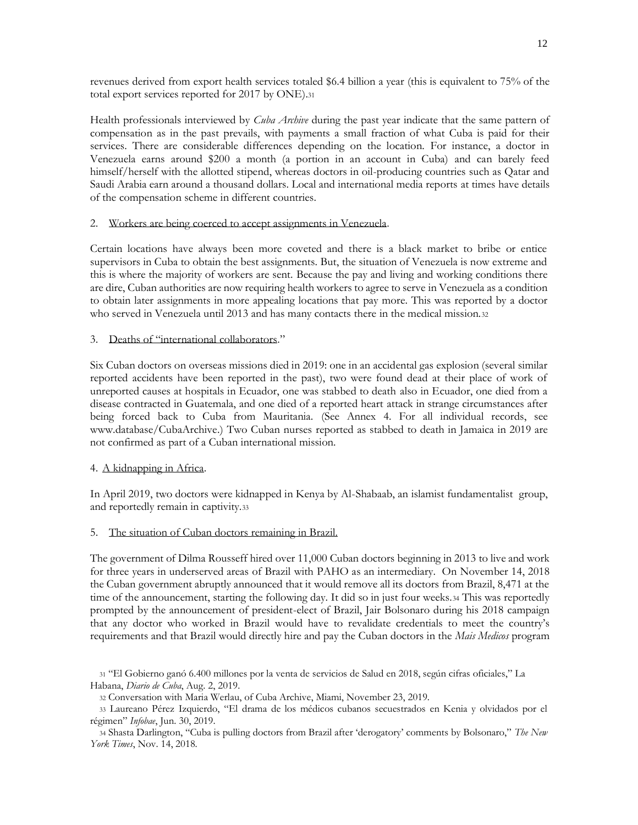revenues derived from export health services totaled \$6.4 billion a year (this is equivalent to 75% of the total export services reported for 2017 by ONE).<sup>31</sup>

Health professionals interviewed by *Cuba Archive* during the past year indicate that the same pattern of compensation as in the past prevails, with payments a small fraction of what Cuba is paid for their services. There are considerable differences depending on the location. For instance, a doctor in Venezuela earns around \$200 a month (a portion in an account in Cuba) and can barely feed himself/herself with the allotted stipend, whereas doctors in oil-producing countries such as Qatar and Saudi Arabia earn around a thousand dollars. Local and international media reports at times have details of the compensation scheme in different countries.

# 2. Workers are being coerced to accept assignments in Venezuela.

Certain locations have always been more coveted and there is a black market to bribe or entice supervisors in Cuba to obtain the best assignments. But, the situation of Venezuela is now extreme and this is where the majority of workers are sent. Because the pay and living and working conditions there are dire, Cuban authorities are now requiring health workers to agree to serve in Venezuela as a condition to obtain later assignments in more appealing locations that pay more. This was reported by a doctor who served in Venezuela until 2013 and has many contacts there in the medical mission.<sup>32</sup>

# 3. Deaths of "international collaborators."

Six Cuban doctors on overseas missions died in 2019: one in an accidental gas explosion (several similar reported accidents have been reported in the past), two were found dead at their place of work of unreported causes at hospitals in Ecuador, one was stabbed to death also in Ecuador, one died from a disease contracted in Guatemala, and one died of a reported heart attack in strange circumstances after being forced back to Cuba from Mauritania. (See Annex 4. For all individual records, see [www.database/CubaArchive.](http://www.database/CubaArchive)) Two Cuban nurses reported as stabbed to death in Jamaica in 2019 are not confirmed as part of a Cuban international mission.

# 4. A kidnapping in Africa.

In April 2019, two doctors were kidnapped in Kenya by Al-Shabaab, an islamist fundamentalist group, and reportedly remain in captivity.<sup>33</sup>

# 5. The situation of Cuban doctors remaining in Brazil.

The government of Dilma Rousseff hired over 11,000 Cuban doctors beginning in 2013 to live and work for three years in underserved areas of Brazil with PAHO as an intermediary. On November 14, 2018 the Cuban government abruptly announced that it would remove all its doctors from Brazil, 8,471 at the time of the announcement, starting the following day. It did so in just four weeks.<sup>34</sup> This was reportedly prompted by the announcement of president-elect of Brazil, Jair Bolsonaro during his 2018 campaign that any doctor who worked in Brazil would have to revalidate credentials to meet the country's requirements and that Brazil would directly hire and pay the Cuban doctors in the *Mais Medicos* program

<sup>31</sup> "El Gobierno ganó 6.400 millones por la venta de servicios de Salud en 2018, según cifras oficiales," La Habana, *Diario de Cuba*, Aug. 2, 2019.

<sup>32</sup> Conversation with Maria Werlau, of Cuba Archive, Miami, November 23, 2019.

<sup>33</sup> Laureano Pérez Izquierdo, "El drama de los médicos cubanos secuestrados en Kenia y olvidados por el régimen" *Infobae*, Jun. 30, 2019.

<sup>34</sup> Shasta Darlington, "Cuba is pulling doctors from Brazil after 'derogatory' comments by Bolsonaro," *The New York Times*, Nov. 14, 2018.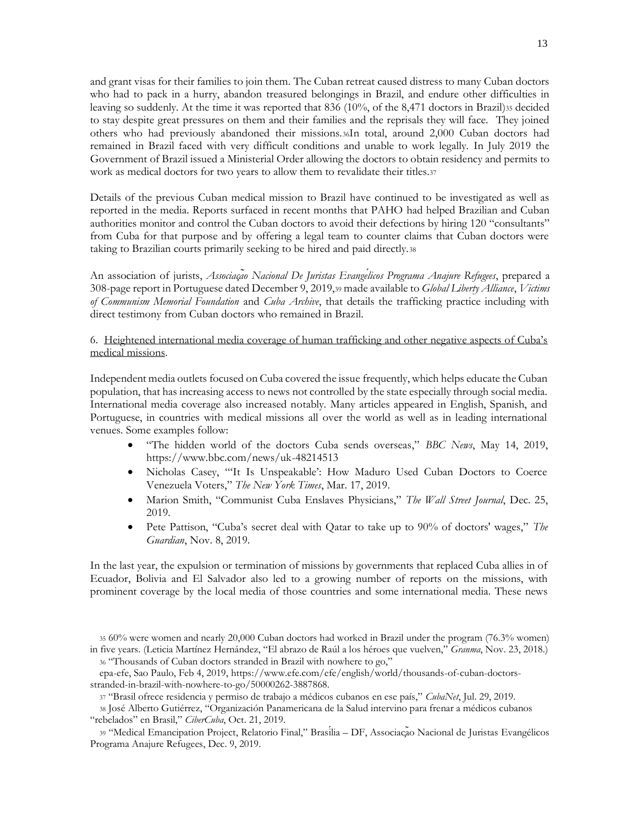and grant visas for their families to join them. The Cuban retreat caused distress to many Cuban doctors who had to pack in a hurry, abandon treasured belongings in Brazil, and endure other difficulties in leaving so suddenly. At the time it was reported that 836 (10%, of the 8,471 doctors in Brazil)<sup>35</sup> decided to stay despite great pressures on them and their families and the reprisals they will face. They joined others who had previously abandoned their missions.36In total, around 2,000 Cuban doctors had remained in Brazil faced with very difficult conditions and unable to work legally. In July 2019 the Government of Brazil issued a Ministerial Order allowing the doctors to obtain residency and permits to work as medical doctors for two years to allow them to revalidate their titles.<sup>37</sup>

Details of the previous Cuban medical mission to Brazil have continued to be investigated as well as reported in the media. Reports surfaced in recent months that PAHO had helped Brazilian and Cuban authorities monitor and control the Cuban doctors to avoid their defections by hiring 120 "consultants" from Cuba for that purpose and by offering a legal team to counter claims that Cuban doctors were taking to Brazilian courts primarily seeking to be hired and paid directly.<sup>38</sup>

An association of jurists, *Associação Nacional De Juristas Evangélicos Programa Anajure Refugees*, prepared a 308-page report in Portuguese dated December 9, 2019,<sup>39</sup> made available to *Global Liberty Alliance*, *Victims of Communism Memorial Foundation* and *Cuba Archive*, that details the trafficking practice including with direct testimony from Cuban doctors who remained in Brazil.

# 6. Heightened international media coverage of human trafficking and other negative aspects of Cuba's medical missions.

Independent media outlets focused on Cuba covered the issue frequently, which helps educate the Cuban population, that has increasing access to news not controlled by the state especially through social media. International media coverage also increased notably. Many articles appeared in English, Spanish, and Portuguese, in countries with medical missions all over the world as well as in leading international venues. Some examples follow:

- "The hidden world of the doctors Cuba sends overseas," *BBC News*, May 14, 2019, https://www.bbc.com/news/uk-48214513
- Nicholas Casey, "'It Is Unspeakable': How Maduro Used Cuban Doctors to Coerce Venezuela Voters," *The New York Times*, Mar. 17, 2019.
- Marion Smith, "Communist Cuba Enslaves Physicians," *The Wall Street Journal*, Dec. 25, 2019.
- Pete Pattison, "Cuba's secret deal with Qatar to take up to 90% of doctors' wages," *The Guardian*, Nov. 8, 2019.

In the last year, the expulsion or termination of missions by governments that replaced Cuba allies in of Ecuador, Bolivia and El Salvador also led to a growing number of reports on the missions, with prominent coverage by the local media of those countries and some international media. These news

<sup>35</sup> 60% were women and nearly 20,000 Cuban [doctors](https://www.facebook.com/permalink.php?story_fbid=932995176910018&id=207782292764647&__tn__=K-R) had worked in Brazil under the program (76.3% women) in five years. (Leticia Martínez Hernández, "El abrazo de Raúl a los héroes que vuelven," *Granma*, Nov. 23, 2018.) <sup>36</sup> "Thousands of Cuban doctors stranded in Brazil with nowhere to go,"

epa-efe, Sao Paulo, Feb 4, 2019, https://www.efe.com/efe/english/world/thousands-of-cuban-doctorsstranded-in-brazil-with-nowhere-to-go/50000262-3887868.

<sup>37</sup> "Brasil ofrece residencia y permiso de trabajo a médicos cubanos en ese país," *CubaNet*, Jul. 29, 2019.

<sup>38</sup> José Alberto Gutiérrez, "Organización Panamericana de la Salud intervino para frenar a médicos cubanos "rebelados" en Brasil," *CiberCuba*, Oct. 21, 2019.

<sup>39</sup> "Medical Emancipation Project, Relatorio Final," Brasília – DF, Associação Nacional de Juristas Evangélicos Programa Anajure Refugees, Dec. 9, 2019.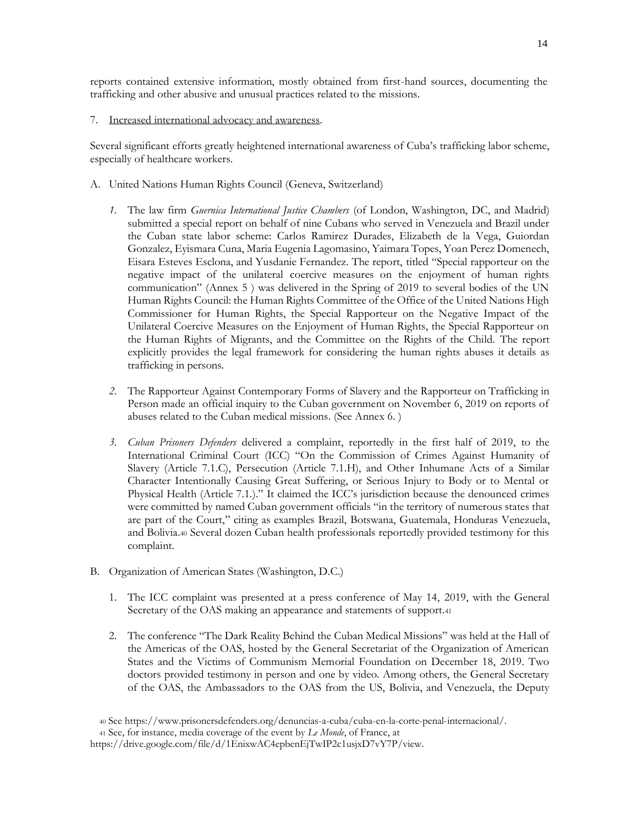reports contained extensive information, mostly obtained from first-hand sources, documenting the trafficking and other abusive and unusual practices related to the missions.

## 7. Increased international advocacy and awareness.

Several significant efforts greatly heightened international awareness of Cuba's trafficking labor scheme, especially of healthcare workers.

- A. United Nations Human Rights Council (Geneva, Switzerland)
	- *1.* The law firm *Guernica International Justice Chambers* (of London, Washington, DC, and Madrid) submitted a special report on behalf of nine Cubans who served in Venezuela and Brazil under the Cuban state labor scheme: Carlos Ramirez Durades, Elizabeth de la Vega, Guiordan Gonzalez, Eyismara Cuna, Maria Eugenia Lagomasino, Yaimara Topes, Yoan Perez Domenech, Eisara Esteves Esclona, and Yusdanie Fernandez. The report, titled "Special rapporteur on the negative impact of the unilateral coercive measures on the enjoyment of human rights communication" (Annex 5 ) was delivered in the Spring of 2019 to several bodies of the UN Human Rights Council: the Human Rights Committee of the Office of the United Nations High Commissioner for Human Rights, the Special Rapporteur on the Negative Impact of the Unilateral Coercive Measures on the Enjoyment of Human Rights, the Special Rapporteur on the Human Rights of Migrants, and the Committee on the Rights of the Child. The report explicitly provides the legal framework for considering the human rights abuses it details as trafficking in persons.
	- *2.* The Rapporteur Against Contemporary Forms of Slavery and the Rapporteur on Trafficking in Person made an official inquiry to the Cuban government on November 6, 2019 on reports of abuses related to the Cuban medical missions. (See Annex 6. )
	- *3. Cuban Prisoners Defenders* delivered a complaint, reportedly in the first half of 2019, to the International Criminal Court (ICC) "On the Commission of Crimes Against Humanity of Slavery (Article 7.1.C), Persecution (Article 7.1.H), and Other Inhumane Acts of a Similar Character Intentionally Causing Great Suffering, or Serious Injury to Body or to Mental or Physical Health (Article 7.1.)." It claimed the ICC's jurisdiction because the denounced crimes were committed by named Cuban government officials "in the territory of numerous states that are part of the Court," citing as examples Brazil, Botswana, Guatemala, Honduras Venezuela, and Bolivia.<sup>40</sup> Several dozen Cuban health professionals reportedly provided testimony for this complaint.
- B. Organization of American States (Washington, D.C.)
	- 1. The ICC complaint was presented at a press conference of May 14, 2019, with the General Secretary of the OAS making an appearance and statements of support.<sup>41</sup>
	- 2. The conference "The Dark Reality Behind the Cuban Medical Missions" was held at the Hall of the Americas of the OAS, hosted by the General Secretariat of the Organization of American States and the Victims of Communism Memorial Foundation on December 18, 2019. Two doctors provided testimony in person and one by video. Among others, the General Secretary of the OAS, the Ambassadors to the OAS from the US, Bolivia, and Venezuela, the Deputy

<sup>40</sup> Se[e https://www.prisonersdefenders.org/denuncias-a-cuba/cuba-en-la-corte-penal-internacional/.](https://www.prisonersdefenders.org/denuncias-a-cuba/cuba-en-la-corte-penal-internacional/)

<sup>41</sup> See, for instance, media coverage of the event by *Le Monde*, of France, at

[https://drive.google.com/file/d/1EnixwAC4epbenEjTwIP2c1usjxD7vY7P/view.](https://drive.google.com/file/d/1EnixwAC4epbenEjTwIP2c1usjxD7vY7P/view)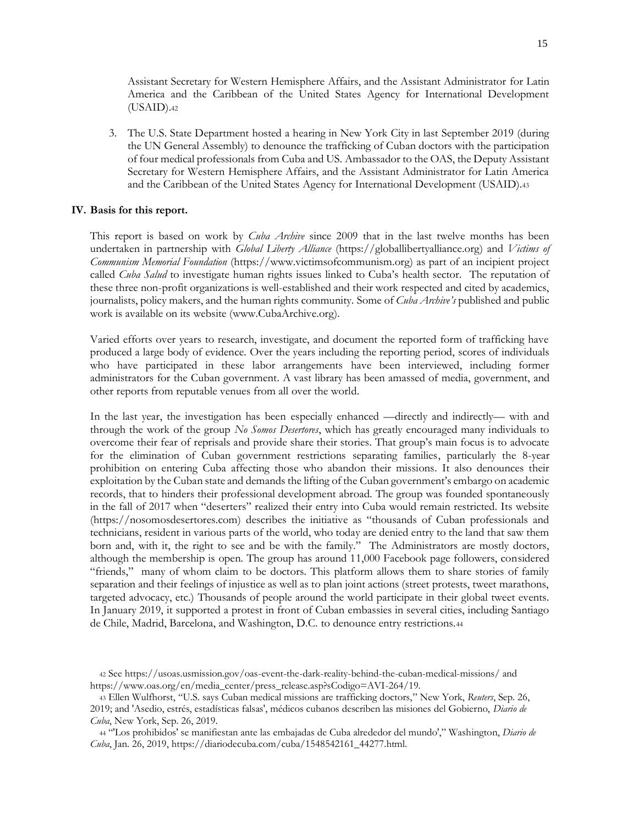Assistant Secretary for Western Hemisphere Affairs, and the Assistant Administrator for Latin America and the Caribbean of the United States Agency for International Development (USAID).<sup>42</sup>

3. The U.S. State Department hosted a hearing in New York City in last September 2019 (during the UN General Assembly) to denounce the trafficking of Cuban doctors with the participation of four medical professionals from Cuba and US. Ambassador to the OAS, the Deputy Assistant Secretary for Western Hemisphere Affairs, and the Assistant Administrator for Latin America and the Caribbean of the United States Agency for International Development (USAID).<sup>43</sup>

#### **IV. Basis for this report.**

This report is based on work by *Cuba Archive* since 2009 that in the last twelve months has been undertaken in partnership with *Global Liberty Alliance* [\(https://globallibertyalliance.org\)](https://globallibertyalliance.org/) and *Victims of Communism Memorial Foundation* [\(https://www.victimsofcommunism.org\)](https://www.victimsofcommunism.org/) as part of an incipient project called *Cuba Salud* to investigate human rights issues linked to Cuba's health sector. The reputation of these three non-profit organizations is well-established and their work respected and cited by academics, journalists, policy makers, and the human rights community. Some of *Cuba Archive's* published and public work is available on its website [\(www.CubaArchive.org\)](http://www.cubaarchive.org/).

Varied efforts over years to research, investigate, and document the reported form of trafficking have produced a large body of evidence. Over the years including the reporting period, scores of individuals who have participated in these labor arrangements have been interviewed, including former administrators for the Cuban government. A vast library has been amassed of media, government, and other reports from reputable venues from all over the world.

In the last year, the investigation has been especially enhanced —directly and indirectly— with and through the work of the group *No Somos Desertores*, which has greatly encouraged many individuals to overcome their fear of reprisals and provide share their stories. That group's main focus is to advocate for the elimination of Cuban government restrictions separating families, particularly the 8-year prohibition on entering Cuba affecting those who abandon their missions. It also denounces their exploitation by the Cuban state and demands the lifting of the Cuban government's embargo on academic records, that to hinders their professional development abroad. The group was founded spontaneously in the fall of 2017 when "deserters" realized their entry into Cuba would remain restricted. Its website [\(https://nosomosdesertores.com](https://nosomosdesertores.com/)) describes the initiative as "thousands of Cuban professionals and technicians, resident in various parts of the world, who today are denied entry to the land that saw them born and, with it, the right to see and be with the family." The Administrators are mostly doctors, although the membership is open. The group has around 11,000 Facebook page followers, considered "friends," many of whom claim to be doctors. This platform allows them to share stories of family separation and their feelings of injustice as well as to plan joint actions (street protests, tweet marathons, targeted advocacy, etc.) Thousands of people around the world participate in their global tweet events. In January 2019, it supported a protest in front of Cuban embassies in several cities, including Santiago de Chile, Madrid, Barcelona, and Washington, D.C. to denounce entry restrictions.<sup>44</sup>

<sup>42</sup> See https://usoas.usmission.gov/oas-event-the-dark-reality-behind-the-cuban-medical-missions/ and https://www.oas.org/en/media\_center/press\_release.asp?sCodigo=AVI-264/19.

<sup>43</sup> Ellen Wulfhorst, "U.S. says Cuban medical missions are trafficking doctors," New York, *Reuters*, Sep. 26, 2019; and 'Asedio, estrés, estadísticas falsas', médicos cubanos describen las misiones del Gobierno, *Diario de Cuba*, New York, Sep. 26, 2019.

<sup>44</sup> "'Los prohibidos' se manifiestan ante las embajadas de Cuba alrededor del mundo'," Washington, *Diario de Cuba*, Jan. 26, 2019, https://diariodecuba.com/cuba/1548542161\_44277.html.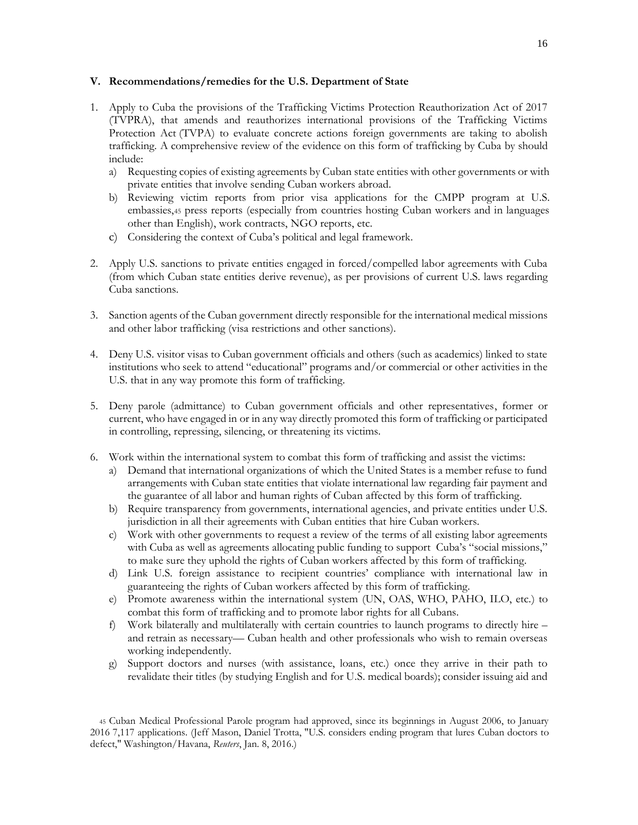## **V. Recommendations/remedies for the U.S. Department of State**

- 1. Apply to Cuba the provisions of the Trafficking Victims Protection Reauthorization Act of 2017 (TVPRA), that amends and reauthorizes international provisions of the Trafficking Victims Protection Act (TVPA) to evaluate concrete actions foreign governments are taking to abolish trafficking. A comprehensive review of the evidence on this form of trafficking by Cuba by should include:
	- a) Requesting copies of existing agreements by Cuban state entities with other governments or with private entities that involve sending Cuban workers abroad.
	- b) Reviewing victim reports from prior visa applications for the CMPP program at U.S. embassies,<sup>45</sup> press reports (especially from countries hosting Cuban workers and in languages other than English), work contracts, NGO reports, etc.
	- c) Considering the context of Cuba's political and legal framework.
- 2. Apply U.S. sanctions to private entities engaged in forced/compelled labor agreements with Cuba (from which Cuban state entities derive revenue), as per provisions of current U.S. laws regarding Cuba sanctions.
- 3. Sanction agents of the Cuban government directly responsible for the international medical missions and other labor trafficking (visa restrictions and other sanctions).
- 4. Deny U.S. visitor visas to Cuban government officials and others (such as academics) linked to state institutions who seek to attend "educational" programs and/or commercial or other activities in the U.S. that in any way promote this form of trafficking.
- 5. Deny parole (admittance) to Cuban government officials and other representatives, former or current, who have engaged in or in any way directly promoted this form of trafficking or participated in controlling, repressing, silencing, or threatening its victims.
- 6. Work within the international system to combat this form of trafficking and assist the victims:
	- a) Demand that international organizations of which the United States is a member refuse to fund arrangements with Cuban state entities that violate international law regarding fair payment and the guarantee of all labor and human rights of Cuban affected by this form of trafficking.
	- b) Require transparency from governments, international agencies, and private entities under U.S. jurisdiction in all their agreements with Cuban entities that hire Cuban workers.
	- c) Work with other governments to request a review of the terms of all existing labor agreements with Cuba as well as agreements allocating public funding to support Cuba's "social missions," to make sure they uphold the rights of Cuban workers affected by this form of trafficking.
	- d) Link U.S. foreign assistance to recipient countries' compliance with international law in guaranteeing the rights of Cuban workers affected by this form of trafficking.
	- e) Promote awareness within the international system (UN, OAS, WHO, PAHO, ILO, etc.) to combat this form of trafficking and to promote labor rights for all Cubans.
	- f) Work bilaterally and multilaterally with certain countries to launch programs to directly hire and retrain as necessary— Cuban health and other professionals who wish to remain overseas working independently.
	- g) Support doctors and nurses (with assistance, loans, etc.) once they arrive in their path to revalidate their titles (by studying English and for U.S. medical boards); consider issuing aid and

<sup>45</sup> Cuban Medical Professional Parole program had approved, since its beginnings in August 2006, to January 2016 7,117 applications. (Jeff Mason, Daniel Trotta, "U.S. considers ending program that lures Cuban doctors to defect," Washington/Havana, *Reuters*, Jan. 8, 2016.)